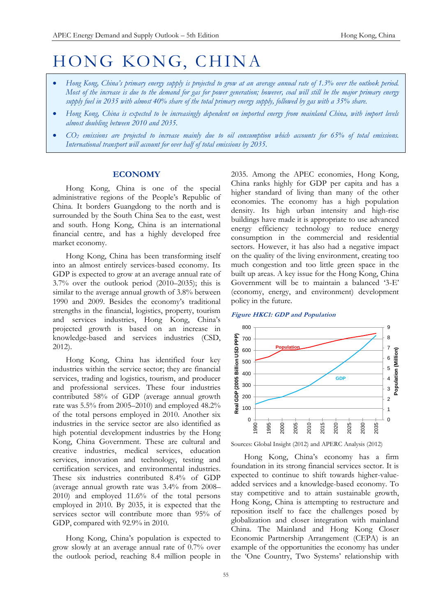# HONG KONG, CHINA

- *Hong Kong, China's primary energy supply is projected to grow at an average annual rate of 1.3% over the outlook period. Most of the increase is due to the demand for gas for power generation; however, coal will still be the major primary energy supply fuel in 2035 with almost 40% share of the total primary energy supply, followed by gas with a 35% share.*
- *Hong Kong, China is expected to be increasingly dependent on imported energy from mainland China, with import levels almost doubling between 2010 and 2035.*
- *CO<sup>2</sup> emissions are projected to increase mainly due to oil consumption which accounts for 65% of total emissions. International transport will account for over half of total emissions by 2035.*

# **ECONOMY**

Hong Kong, China is one of the special administrative regions of the People's Republic of China. It borders Guangdong to the north and is surrounded by the South China Sea to the east, west and south. Hong Kong, China is an international financial centre, and has a highly developed free market economy.

Hong Kong, China has been transforming itself into an almost entirely services-based economy. Its GDP is expected to grow at an average annual rate of 3.7% over the outlook period (2010–2035); this is similar to the average annual growth of 3.8% between 1990 and 2009. Besides the economy's traditional strengths in the financial, logistics, property, tourism and services industries, Hong Kong, China's projected growth is based on an increase in knowledge-based and services industries (CSD, 2012).

Hong Kong, China has identified four key industries within the service sector; they are financial services, trading and logistics, tourism, and producer and professional services. These four industries contributed 58% of GDP (average annual growth rate was 5.5% from 2005–2010) and employed 48.2% of the total persons employed in 2010. Another six industries in the service sector are also identified as high potential development industries by the Hong Kong, China Government. These are cultural and creative industries, medical services, education services, innovation and technology, testing and certification services, and environmental industries. These six industries contributed 8.4% of GDP (average annual growth rate was 3.4% from 2008– 2010) and employed 11.6% of the total persons employed in 2010. By 2035, it is expected that the services sector will contribute more than 95% of GDP, compared with 92.9% in 2010.

Hong Kong, China's population is expected to grow slowly at an average annual rate of 0.7% over the outlook period, reaching 8.4 million people in

2035. Among the APEC economies, Hong Kong, China ranks highly for GDP per capita and has a higher standard of living than many of the other economies. The economy has a high population density. Its high urban intensity and high-rise buildings have made it is appropriate to use advanced energy efficiency technology to reduce energy consumption in the commercial and residential sectors. However, it has also had a negative impact on the quality of the living environment, creating too much congestion and too little green space in the built up areas. A key issue for the Hong Kong, China Government will be to maintain a balanced '3-E' (economy, energy, and environment) development policy in the future.





Sources: Global Insight (2012) and APERC Analysis (2012)

Hong Kong, China's economy has a firm foundation in its strong financial services sector. It is expected to continue to shift towards higher-valueadded services and a knowledge-based economy. To stay competitive and to attain sustainable growth, Hong Kong, China is attempting to restructure and reposition itself to face the challenges posed by globalization and closer integration with mainland China. The Mainland and Hong Kong Closer Economic Partnership Arrangement (CEPA) is an example of the opportunities the economy has under the 'One Country, Two Systems' relationship with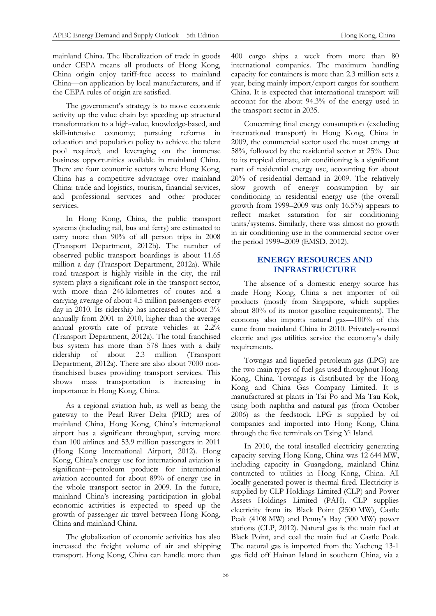mainland China. The liberalization of trade in goods under CEPA means all products of Hong Kong, China origin enjoy tariff-free access to mainland China—on application by local manufacturers, and if the CEPA rules of origin are satisfied.

The government's strategy is to move economic activity up the value chain by: speeding up structural transformation to a high-value, knowledge-based, and skill-intensive economy; pursuing reforms in education and population policy to achieve the talent pool required; and leveraging on the immense business opportunities available in mainland China. There are four economic sectors where Hong Kong, China has a competitive advantage over mainland China: trade and logistics, tourism, financial services, and professional services and other producer services.

In Hong Kong, China, the public transport systems (including rail, bus and ferry) are estimated to carry more than 90% of all person trips in 2008 (Transport Department, 2012b). The number of observed public transport boardings is about 11.65 million a day (Transport Department, 2012a). While road transport is highly visible in the city, the rail system plays a significant role in the transport sector, with more than 246 kilometres of routes and a carrying average of about 4.5 million passengers every day in 2010. Its ridership has increased at about 3% annually from 2001 to 2010, higher than the average annual growth rate of private vehicles at 2.2% (Transport Department, 2012a). The total franchised bus system has more than 578 lines with a daily ridership of about 2.3 million (Transport Department, 2012a). There are also about 7000 nonfranchised buses providing transport services. This shows mass transportation is increasing in importance in Hong Kong, China.

As a regional aviation hub, as well as being the gateway to the Pearl River Delta (PRD) area of mainland China, Hong Kong, China's international airport has a significant throughput, serving more than 100 airlines and 53.9 million passengers in 2011 (Hong Kong International Airport, 2012). Hong Kong, China's energy use for international aviation is significant—petroleum products for international aviation accounted for about 89% of energy use in the whole transport sector in 2009. In the future, mainland China's increasing participation in global economic activities is expected to speed up the growth of passenger air travel between Hong Kong, China and mainland China.

The globalization of economic activities has also increased the freight volume of air and shipping transport. Hong Kong, China can handle more than

400 cargo ships a week from more than 80 international companies. The maximum handling capacity for containers is more than 2.3 million sets a year, being mainly import/export cargos for southern China. It is expected that international transport will account for the about 94.3% of the energy used in the transport sector in 2035.

Concerning final energy consumption (excluding international transport) in Hong Kong, China in 2009, the commercial sector used the most energy at 58%, followed by the residential sector at 25%. Due to its tropical climate, air conditioning is a significant part of residential energy use, accounting for about 20% of residential demand in 2009. The relatively slow growth of energy consumption by air conditioning in residential energy use (the overall growth from 1999–2009 was only 16.5%) appears to reflect market saturation for air conditioning units/systems. Similarly, there was almost no growth in air conditioning use in the commercial sector over the period 1999–2009 (EMSD, 2012).

# **ENERGY RESOURCES AND INFRASTRUCTURE**

The absence of a domestic energy source has made Hong Kong, China a net importer of oil products (mostly from Singapore, which supplies about 80% of its motor gasoline requirements). The economy also imports natural gas—100% of this came from mainland China in 2010. Privately-owned electric and gas utilities service the economy's daily requirements.

Towngas and liquefied petroleum gas (LPG) are the two main types of fuel gas used throughout Hong Kong, China. Towngas is distributed by the Hong Kong and China Gas Company Limited. It is manufactured at plants in Tai Po and Ma Tau Kok, using both naphtha and natural gas (from October 2006) as the feedstock. LPG is supplied by oil companies and imported into Hong Kong, China through the five terminals on Tsing Yi Island.

In 2010, the total installed electricity generating capacity serving Hong Kong, China was 12 644 MW, including capacity in Guangdong, mainland China contracted to utilities in Hong Kong, China. All locally generated power is thermal fired. Electricity is supplied by CLP Holdings Limited (CLP) and Power Assets Holdings Limited (PAH). CLP supplies electricity from its Black Point (2500 MW), Castle Peak (4108 MW) and Penny's Bay (300 MW) power stations (CLP, 2012). Natural gas is the main fuel at Black Point, and coal the main fuel at Castle Peak. The natural gas is imported from the Yacheng 13-1 gas field off Hainan Island in southern China, via a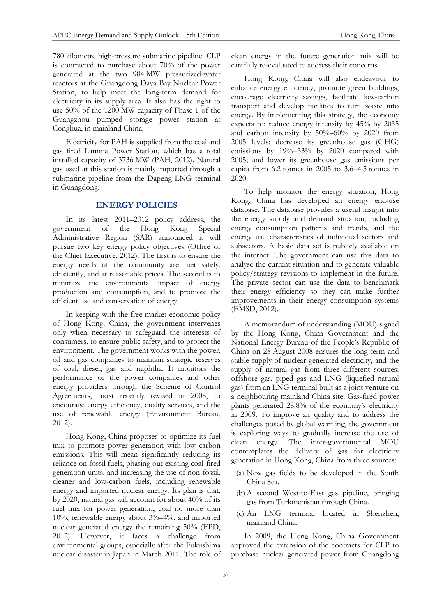780 kilometre high-pressure submarine pipeline. CLP is contracted to purchase about 70% of the power generated at the two 984 MW pressurized-water reactors at the Guangdong Daya Bay Nuclear Power Station, to help meet the long-term demand for electricity in its supply area. It also has the right to use 50% of the 1200 MW capacity of Phase 1 of the Guangzhou pumped storage power station at Conghua, in mainland China.

Electricity for PAH is supplied from the coal and gas fired Lamma Power Station, which has a total installed capacity of 3736 MW (PAH, 2012). Natural gas used at this station is mainly imported through a submarine pipeline from the Dapeng LNG terminal in Guangdong.

# **ENERGY POLICIES**

In its latest 2011–2012 policy address, the<br>ernment of the Hong Kong Special government of the Hong Kong Administrative Region (SAR) announced it will pursue two key energy policy objectives (Office of the Chief Executive, 2012). The first is to ensure the energy needs of the community are met safely, efficiently, and at reasonable prices. The second is to minimize the environmental impact of energy production and consumption, and to promote the efficient use and conservation of energy.

In keeping with the free market economic policy of Hong Kong, China, the government intervenes only when necessary to safeguard the interests of consumers, to ensure public safety, and to protect the environment. The government works with the power, oil and gas companies to maintain strategic reserves of coal, diesel, gas and naphtha. It monitors the performance of the power companies and other energy providers through the Scheme of Control Agreements, most recently revised in 2008, to encourage energy efficiency, quality services, and the use of renewable energy (Environment Bureau, 2012).

Hong Kong, China proposes to optimize its fuel mix to promote power generation with low carbon emissions. This will mean significantly reducing its reliance on fossil fuels, phasing out existing coal-fired generation units, and increasing the use of non-fossil, cleaner and low-carbon fuels, including renewable energy and imported nuclear energy. Its plan is that, by 2020, natural gas will account for about 40% of its fuel mix for power generation, coal no more than 10%, renewable energy about 3%–4%, and imported nuclear generated energy the remaining 50% (EPD, 2012). However, it faces a challenge from environmental groups, especially after the Fukushima nuclear disaster in Japan in March 2011. The role of clean energy in the future generation mix will be carefully re-evaluated to address their concerns.

Hong Kong, China will also endeavour to enhance energy efficiency, promote green buildings, encourage electricity savings, facilitate low-carbon transport and develop facilities to turn waste into energy. By implementing this strategy, the economy expects to: reduce energy intensity by 45% by 2035 and carbon intensity by 50%–60% by 2020 from 2005 levels; decrease its greenhouse gas (GHG) emissions by 19%–33% by 2020 compared with 2005; and lower its greenhouse gas emissions per capita from 6.2 tonnes in 2005 to 3.6–4.5 tonnes in 2020.

To help monitor the energy situation, Hong Kong, China has developed an energy end-use database. The database provides a useful insight into the energy supply and demand situation, including energy consumption patterns and trends, and the energy use characteristics of individual sectors and subsectors. A basic data set is publicly available on the internet. The government can use this data to analyse the current situation and to generate valuable policy/strategy revisions to implement in the future. The private sector can use the data to benchmark their energy efficiency so they can make further improvements in their energy consumption systems (EMSD, 2012).

A memorandum of understanding (MOU) signed by the Hong Kong, China Government and the National Energy Bureau of the People's Republic of China on 28 August 2008 ensures the long-term and stable supply of nuclear generated electricity, and the supply of natural gas from three different sources: offshore gas, piped gas and LNG (liquefied natural gas) from an LNG terminal built as a joint venture on a neighbouring mainland China site. Gas-fired power plants generated 28.8% of the economy's electricity in 2009. To improve air quality and to address the challenges posed by global warming, the government is exploring ways to gradually increase the use of clean energy. The inter-governmental MOU contemplates the delivery of gas for electricity generation in Hong Kong, China from three sources:

- (a) New gas fields to be developed in the South China Sea.
- (b) A second West-to-East gas pipeline, bringing gas from Turkmenistan through China.
- (c) An LNG terminal located in Shenzhen, mainland China.

In 2009, the Hong Kong, China Government approved the extension of the contracts for CLP to purchase nuclear generated power from Guangdong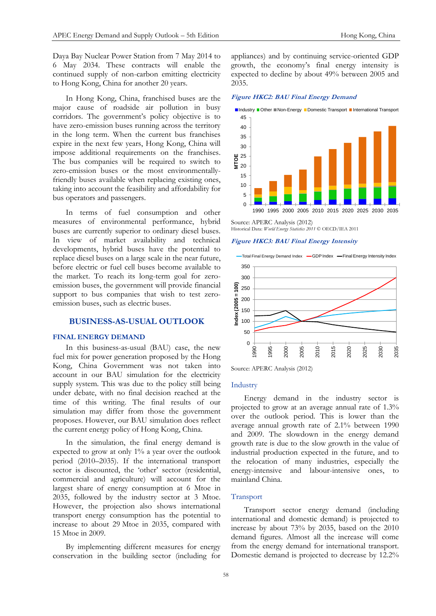Daya Bay Nuclear Power Station from 7 May 2014 to 6 May 2034. These contracts will enable the continued supply of non-carbon emitting electricity to Hong Kong, China for another 20 years.

In Hong Kong, China, franchised buses are the major cause of roadside air pollution in busy corridors. The government's policy objective is to have zero-emission buses running across the territory in the long term. When the current bus franchises expire in the next few years, Hong Kong, China will impose additional requirements on the franchises. The bus companies will be required to switch to zero-emission buses or the most environmentallyfriendly buses available when replacing existing ones, taking into account the feasibility and affordability for bus operators and passengers.

In terms of fuel consumption and other measures of environmental performance, hybrid buses are currently superior to ordinary diesel buses. In view of market availability and technical developments, hybrid buses have the potential to replace diesel buses on a large scale in the near future, before electric or fuel cell buses become available to the market. To reach its long-term goal for zeroemission buses, the government will provide financial support to bus companies that wish to test zeroemission buses, such as electric buses.

# **BUSINESS-AS-USUAL OUTLOOK**

#### **FINAL ENERGY DEMAND**

In this business-as-usual (BAU) case, the new fuel mix for power generation proposed by the Hong Kong, China Government was not taken into account in our BAU simulation for the electricity supply system. This was due to the policy still being under debate, with no final decision reached at the time of this writing. The final results of our simulation may differ from those the government proposes. However, our BAU simulation does reflect the current energy policy of Hong Kong, China.

In the simulation, the final energy demand is expected to grow at only 1% a year over the outlook period (2010–2035). If the international transport sector is discounted, the 'other' sector (residential, commercial and agriculture) will account for the largest share of energy consumption at 6 Mtoe in 2035, followed by the industry sector at 3 Mtoe. However, the projection also shows international transport energy consumption has the potential to increase to about 29 Mtoe in 2035, compared with 15 Mtoe in 2009.

By implementing different measures for energy conservation in the building sector (including for appliances) and by continuing service-oriented GDP growth, the economy's final energy intensity is expected to decline by about 49% between 2005 and 2035.

**Figure HKC2: BAU Final Energy Demand**



Source: APERC Analysis (2012) Historical Data: *World Energy Statistics 2011* © OECD/IEA 2011

#### **Figure HKC3: BAU Final Energy Intensity**





Source: APERC Analysis (2012)

#### Industry

Energy demand in the industry sector is projected to grow at an average annual rate of 1.3% over the outlook period. This is lower than the average annual growth rate of 2.1% between 1990 and 2009. The slowdown in the energy demand growth rate is due to the slow growth in the value of industrial production expected in the future, and to the relocation of many industries, especially the energy-intensive and labour-intensive ones, to mainland China.

## Transport

Transport sector energy demand (including international and domestic demand) is projected to increase by about 73% by 2035, based on the 2010 demand figures. Almost all the increase will come from the energy demand for international transport. Domestic demand is projected to decrease by 12.2%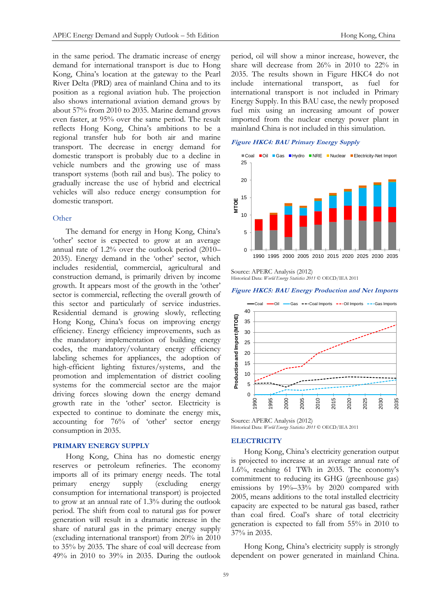in the same period. The dramatic increase of energy demand for international transport is due to Hong Kong, China's location at the gateway to the Pearl River Delta (PRD) area of mainland China and to its position as a regional aviation hub. The projection also shows international aviation demand grows by about 57% from 2010 to 2035. Marine demand grows even faster, at 95% over the same period. The result reflects Hong Kong, China's ambitions to be a regional transfer hub for both air and marine transport. The decrease in energy demand for domestic transport is probably due to a decline in vehicle numbers and the growing use of mass transport systems (both rail and bus). The policy to gradually increase the use of hybrid and electrical vehicles will also reduce energy consumption for domestic transport.

## **Other**

The demand for energy in Hong Kong, China's 'other' sector is expected to grow at an average annual rate of 1.2% over the outlook period (2010– 2035). Energy demand in the 'other' sector, which includes residential, commercial, agricultural and construction demand, is primarily driven by income growth. It appears most of the growth in the 'other' sector is commercial, reflecting the overall growth of this sector and particularly of service industries. Residential demand is growing slowly, reflecting Hong Kong, China's focus on improving energy efficiency. Energy efficiency improvements, such as the mandatory implementation of building energy codes, the mandatory/voluntary energy efficiency labeling schemes for appliances, the adoption of high-efficient lighting fixtures/systems, and the promotion and implementation of district cooling systems for the commercial sector are the major driving forces slowing down the energy demand growth rate in the 'other' sector. Electricity is expected to continue to dominate the energy mix, accounting for 76% of 'other' sector energy consumption in 2035.

# **PRIMARY ENERGY SUPPLY**

Hong Kong, China has no domestic energy reserves or petroleum refineries. The economy imports all of its primary energy needs. The total primary energy supply (excluding energy consumption for international transport) is projected to grow at an annual rate of 1.3% during the outlook period. The shift from coal to natural gas for power generation will result in a dramatic increase in the share of natural gas in the primary energy supply (excluding international transport) from 20% in 2010 to 35% by 2035. The share of coal will decrease from 49% in 2010 to 39% in 2035. During the outlook

period, oil will show a minor increase, however, the share will decrease from 26% in 2010 to 22% in 2035. The results shown in Figure HKC4 do not include international transport, as fuel for international transport is not included in Primary Energy Supply. In this BAU case, the newly proposed fuel mix using an increasing amount of power imported from the nuclear energy power plant in mainland China is not included in this simulation.

# **Figure HKC4: BAU Primary Energy Supply**



Source: APERC Analysis (2012) Historical Data: *World Energy Statistics 2011* © OECD/IEA 2011

#### **Figure HKC5: BAU Energy Production and Net Imports**



Source: APERC Analysis (2012) Historical Data: *World Energy Statistics 2011* © OECD/IEA 2011

#### **ELECTRICITY**

Hong Kong, China's electricity generation output is projected to increase at an average annual rate of 1.6%, reaching 61 TWh in 2035. The economy's commitment to reducing its GHG (greenhouse gas) emissions by 19%–33% by 2020 compared with 2005, means additions to the total installed electricity capacity are expected to be natural gas based, rather than coal fired. Coal's share of total electricity generation is expected to fall from 55% in 2010 to 37% in 2035.

Hong Kong, China's electricity supply is strongly dependent on power generated in mainland China.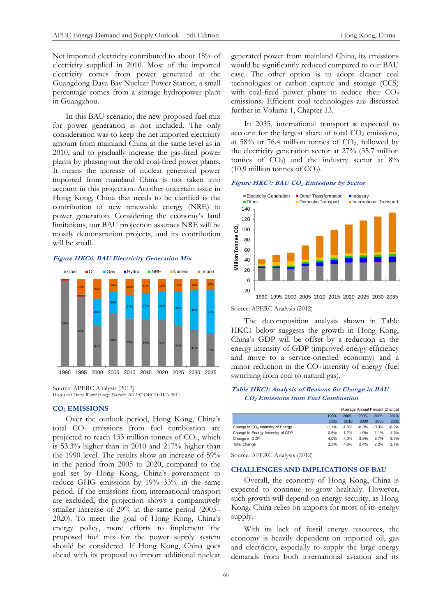Net imported electricity contributed to about 18% of electricity supplied in 2010. Most of the imported electricity comes from power generated at the Guangdong Daya Bay Nuclear Power Station; a small percentage comes from a storage hydropower plant in Guangzhou.

In this BAU scenario, the new proposed fuel mix for power generation is not included. The only consideration was to keep the net imported electricity amount from mainland China at the same level as in 2010, and to gradually increase the gas-fired power plants by phasing out the old coal-fired power plants. It means the increase of nuclear generated power imported from mainland China is not taken into account in this projection. Another uncertain issue in Hong Kong, China that needs to be clarified is the contribution of new renewable energy (NRE) to power generation. Considering the economy's land limitations, our BAU projection assumes NRE will be mostly demonstration projects, and its contribution will be small.

## **Figure HKC6: BAU Electricity Generation Mix**



Source: APERC Analysis (2012) Historical Data: *World Energy Statistics 2011* © OECD/IEA 2011

## **CO<sup>2</sup> EMISSIONS**

Over the outlook period, Hong Kong, China's total CO<sup>2</sup> emissions from fuel combustion are projected to reach 133 million tonnes of  $CO<sub>2</sub>$ , which is 53.3% higher than in 2010 and 217% higher than the 1990 level. The results show an increase of 59% in the period from 2005 to 2020, compared to the goal set by Hong Kong, China's government to reduce GHG emissions by 19%–33% in the same period. If the emissions from international transport are excluded, the projection shows a comparatively smaller increase of 29% in the same period (2005– 2020). To meet the goal of Hong Kong, China's energy policy, more efforts to implement the proposed fuel mix for the power supply system should be considered. If Hong Kong, China goes ahead with its proposal to import additional nuclear

generated power from mainland China, its emissions would be significantly reduced compared to our BAU case. The other option is to adopt cleaner coal technologies or carbon capture and storage (CCS) with coal-fired power plants to reduce their  $CO<sub>2</sub>$ emissions. Efficient coal technologies are discussed further in Volume 1, Chapter 13.

In 2035, international transport is expected to account for the largest share of total  $CO<sub>2</sub>$  emissions, at 58% or 76.4 million tonnes of  $CO<sub>2</sub>$ , followed by the electricity generation sector at 27% (35.7 million tonnes of  $CO<sub>2</sub>$  and the industry sector at  $8\%$  $(10.9 \text{ million tonnes of CO}_2)$ .

#### **Figure HKC7: BAU CO<sup>2</sup> Emissions by Sector**



Source: APERC Analysis (2012)

The decomposition analysis shown in Table HKC1 below suggests the growth in Hong Kong, China's GDP will be offset by a reduction in the energy intensity of GDP (improved energy efficiency and move to a service-oriented economy) and a minor reduction in the  $CO<sub>2</sub>$  intensity of energy (fuel switching from coal to natural gas).

## **Table HKC1: Analysis of Reasons for Change in BAU CO2 Emissions from Fuel Combustion**

|                                               |         | (Average Annual Percent Change) |          |          |          |
|-----------------------------------------------|---------|---------------------------------|----------|----------|----------|
|                                               | 1990-   | $2005 -$                        | $2005 -$ | $2005 -$ | $2010 -$ |
|                                               | 2005    | 2010                            | 2030     | 2035     | 2035     |
| Change in CO <sub>2</sub> Intensity of Energy | $-1.1%$ | $-1.0%$                         | $-0.3%$  | $-0.3%$  | $-0.2%$  |
| Change in Energy Intensity of GDP             | 0.5%    | 1.7%                            | $-1.0%$  | $-1.1%$  | $-1.7%$  |
| Change in GDP                                 | 4.0%    | 4.0%                            | 3.8%     | 3.7%     | 3.7%     |
| <b>Total Change</b>                           | 3.3%    | 4.8%                            | 2.4%     | 2.2%     | 1.7%     |

Source: APERC Analysis (2012)

### **CHALLENGES AND IMPLICATIONS OF BAU**

Overall, the economy of Hong Kong, China is expected to continue to grow healthily. However, such growth will depend on energy security, as Hong Kong, China relies on imports for most of its energy supply.

With its lack of fossil energy resources, the economy is heavily dependent on imported oil, gas and electricity, especially to supply the large energy demands from both international aviation and its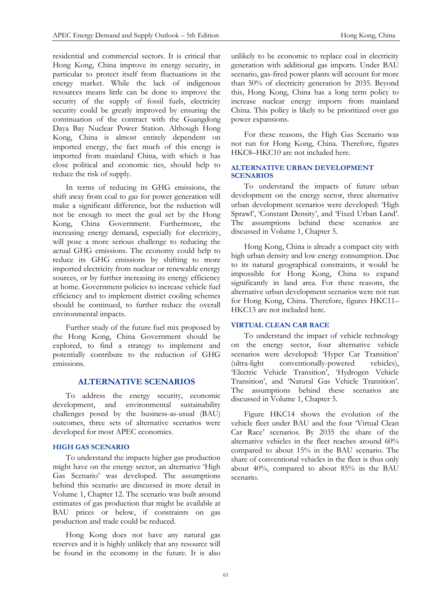residential and commercial sectors. It is critical that Hong Kong, China improve its energy security, in particular to protect itself from fluctuations in the energy market. While the lack of indigenous resources means little can be done to improve the security of the supply of fossil fuels, electricity security could be greatly improved by ensuring the continuation of the contract with the Guangdong Daya Bay Nuclear Power Station. Although Hong Kong, China is almost entirely dependent on imported energy, the fact much of this energy is imported from mainland China, with which it has close political and economic ties, should help to reduce the risk of supply.

In terms of reducing its GHG emissions, the shift away from coal to gas for power generation will make a significant difference, but the reduction will not be enough to meet the goal set by the Hong Kong, China Government. Furthermore, the increasing energy demand, especially for electricity, will pose a more serious challenge to reducing the actual GHG emissions. The economy could help to reduce its GHG emissions by shifting to more imported electricity from nuclear or renewable energy sources, or by further increasing its energy efficiency at home. Government policies to increase vehicle fuel efficiency and to implement district cooling schemes should be continued, to further reduce the overall environmental impacts.

Further study of the future fuel mix proposed by the Hong Kong, China Government should be explored, to find a strategy to implement and potentially contribute to the reduction of GHG emissions.

# **ALTERNATIVE SCENARIOS**

To address the energy security, economic development, and environmental sustainability challenges posed by the business-as-usual (BAU) outcomes, three sets of alternative scenarios were developed for most APEC economies.

# **HIGH GAS SCENARIO**

To understand the impacts higher gas production might have on the energy sector, an alternative 'High Gas Scenario' was developed. The assumptions behind this scenario are discussed in more detail in Volume 1, Chapter 12. The scenario was built around estimates of gas production that might be available at BAU prices or below, if constraints on gas production and trade could be reduced.

Hong Kong does not have any natural gas reserves and it is highly unlikely that any resource will be found in the economy in the future. It is also unlikely to be economic to replace coal in electricity generation with additional gas imports. Under BAU scenario, gas-fired power plants will account for more than 50% of electricity generation by 2035. Beyond this, Hong Kong, China has a long term policy to increase nuclear energy imports from mainland China. This policy is likely to be prioritized over gas power expansions.

For these reasons, the High Gas Scenario was not run for Hong Kong, China. Therefore, figures HKC8–HKC10 are not included here.

# **ALTERNATIVE URBAN DEVELOPMENT SCENARIOS**

To understand the impacts of future urban development on the energy sector, three alternative urban development scenarios were developed: 'High Sprawl', 'Constant Density', and 'Fixed Urban Land'. The assumptions behind these scenarios are discussed in Volume 1, Chapter 5.

Hong Kong, China is already a compact city with high urban density and low energy consumption. Due to its natural geographical constraints, it would be impossible for Hong Kong, China to expand significantly in land area. For these reasons, the alternative urban development scenarios were not run for Hong Kong, China. Therefore, figures HKC11– HKC13 are not included here.

## **VIRTUAL CLEAN CAR RACE**

To understand the impact of vehicle technology on the energy sector, four alternative vehicle scenarios were developed: 'Hyper Car Transition' (ultra-light conventionally-powered vehicles), 'Electric Vehicle Transition', 'Hydrogen Vehicle Transition', and 'Natural Gas Vehicle Transition'. The assumptions behind these scenarios are discussed in Volume 1, Chapter 5.

Figure HKC14 shows the evolution of the vehicle fleet under BAU and the four 'Virtual Clean Car Race' scenarios. By 2035 the share of the alternative vehicles in the fleet reaches around 60% compared to about 15% in the BAU scenario. The share of conventional vehicles in the fleet is thus only about 40%, compared to about 85% in the BAU scenario.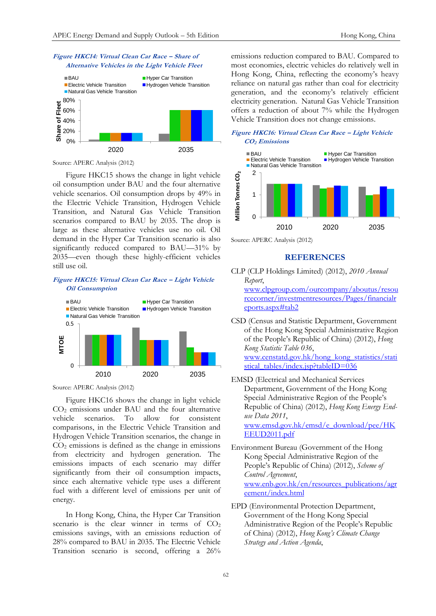



Source: APERC Analysis (2012)

Figure HKC15 shows the change in light vehicle oil consumption under BAU and the four alternative vehicle scenarios. Oil consumption drops by 49% in the Electric Vehicle Transition, Hydrogen Vehicle Transition, and Natural Gas Vehicle Transition scenarios compared to BAU by 2035. The drop is large as these alternative vehicles use no oil. Oil demand in the Hyper Car Transition scenario is also significantly reduced compared to BAU—31% by 2035—even though these highly-efficient vehicles still use oil.

# **Figure HKC15: Virtual Clean Car Race – Light Vehicle Oil Consumption**



Source: APERC Analysis (2012)

Figure HKC16 shows the change in light vehicle CO<sup>2</sup> emissions under BAU and the four alternative vehicle scenarios. To allow for consistent comparisons, in the Electric Vehicle Transition and Hydrogen Vehicle Transition scenarios, the change in  $CO<sub>2</sub>$  emissions is defined as the change in emissions from electricity and hydrogen generation. The emissions impacts of each scenario may differ significantly from their oil consumption impacts, since each alternative vehicle type uses a different fuel with a different level of emissions per unit of energy.

In Hong Kong, China, the Hyper Car Transition scenario is the clear winner in terms of  $CO<sub>2</sub>$ emissions savings, with an emissions reduction of 28% compared to BAU in 2035. The Electric Vehicle Transition scenario is second, offering a 26%

emissions reduction compared to BAU. Compared to most economies, electric vehicles do relatively well in Hong Kong, China, reflecting the economy's heavy reliance on natural gas rather than coal for electricity generation, and the economy's relatively efficient electricity generation. Natural Gas Vehicle Transition offers a reduction of about 7% while the Hydrogen Vehicle Transition does not change emissions.





Source: APERC Analysis (2012)

# **REFERENCES**

CLP (CLP Holdings Limited) (2012), *2010 Annual Report*,

[www.clpgroup.com/ourcompany/aboutus/resou](http://www.clpgroup.com/ourcompany/aboutus/resourcecorner/investmentresources/Pages/financialreports.aspx#tab2) [rcecorner/investmentresources/Pages/financialr](http://www.clpgroup.com/ourcompany/aboutus/resourcecorner/investmentresources/Pages/financialreports.aspx#tab2) [eports.aspx#tab2](http://www.clpgroup.com/ourcompany/aboutus/resourcecorner/investmentresources/Pages/financialreports.aspx#tab2)

- CSD (Census and Statistic Department, Government of the Hong Kong Special Administrative Region of the People's Republic of China) (2012), *Hong Kong Statistic Table 036*, [www.censtatd.gov.hk/hong\\_kong\\_statistics/stati](http://www.censtatd.gov.hk/hong_kong_statistics/statistical_tables/index.jsp?tableID=036) [stical\\_tables/index.jsp?tableID=036](http://www.censtatd.gov.hk/hong_kong_statistics/statistical_tables/index.jsp?tableID=036)
- EMSD (Electrical and Mechanical Services Department, Government of the Hong Kong Special Administrative Region of the People's Republic of China) (2012), *Hong Kong Energy Enduse Data 2011*, [www.emsd.gov.hk/emsd/e\\_download/pee/HK](http://www.emsd.gov.hk/emsd/e_download/pee/HKEEUD2011.pdf) [EEUD2011.pdf](http://www.emsd.gov.hk/emsd/e_download/pee/HKEEUD2011.pdf)
- Environment Bureau (Government of the Hong Kong Special Administrative Region of the People's Republic of China) (2012), *Scheme of Control Agreement*, [www.enb.gov.hk/en/resources\\_publications/agr](http://www.enb.gov.hk/en/resources_publications/agreement/index.html) [eement/index.html](http://www.enb.gov.hk/en/resources_publications/agreement/index.html)
- EPD (Environmental Protection Department, Government of the Hong Kong Special Administrative Region of the People's Republic of China) (2012), *Hong Kong's Climate Change Strategy and Action Agenda*,